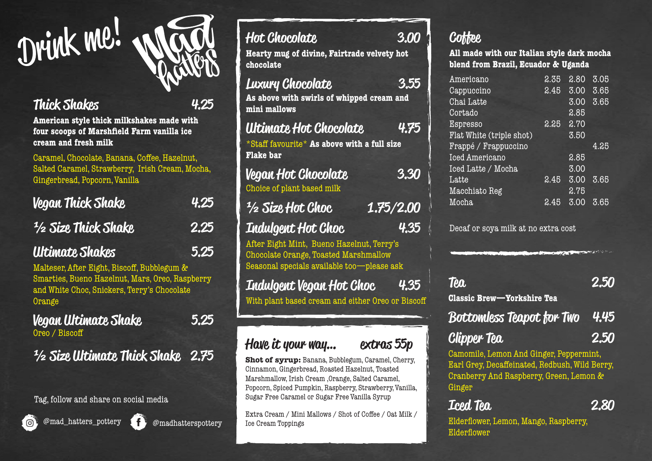

#### Thick Shakes 4.25

American style thick milkshakes made with four scoops of Marshfield Farm vanilla ice cream and fresh milk

Caramel, Chocolate, Banana, Coffee, Hazelnut, Salted Caramel, Strawberry, Irish Cream, Mocha, Gingerbread, Popcorn, Vanilla

| <b>Vegan Thick Shake</b>                                                                    | 4.25 |
|---------------------------------------------------------------------------------------------|------|
| <sup>1</sup> /2 Size Thick Shake                                                            | 2.25 |
| <b>Ultimate Shakes</b>                                                                      | 5.25 |
| Malteser, After Eight, Biscoff, Bubblegum &<br>Smarties Bueno Hazelnut, Mars Oreo Baspherry |      |

Smarties, Bueno Hazelnut, Mars, Oreo, Raspberry and White Choc, Snickers, Terry's Chocolate **Orange** 

Vegan Ultimate Shake 5.25 Oreo / Bisco

½ Size Ultimate Thick Shake 2.75

Tag, follow and share on social media





| Hot Chocolate<br>Hearty mug of divine, Fairtrade velvety hot<br>chocolate                 | 3.00 |
|-------------------------------------------------------------------------------------------|------|
| Luxury Chocolate<br>As above with swirls of whipped cream and<br>mini mallows             | 3.55 |
| Ultimate Hot Chocolate<br>*Staff favourite* As above with a full size<br><b>Flake bar</b> | 4.75 |
| Vegan Hot Chocolate<br>Choice of plant based milk                                         | 3.30 |
| 1.75/2.00<br><sup>1</sup> / <sub>2</sub> Size Hot Choc                                    |      |
| Indulgent Hot Choc                                                                        | 4.35 |

After Eight Mint, Bueno Hazelnut, Terry's Chocolate Orange, Toasted Marshmallow Seasonal specials available too—please ask

# Indulgent Vegan Hot Choc 4.35

With plant based cream and either Oreo or Biscoff

#### Have it your way… extras 55p

**Shot of syrup:** Banana, Bubblegum, Caramel, Cherry, Cinnamon, Gingerbread, Roasted Hazelnut, Toasted Marshmallow, Irish Cream ,Orange, Salted Caramel, Popcorn, Spiced Pumpkin, Raspberry, Strawberry, Vanilla, Sugar Free Caramel or Sugar Free Vanilla Syrup

Extra Cream / Mini Mallows / Shot of Coffee / Oat Milk / Ice Cream Toppings

#### **Cottee**

All made with our Italian style dark mocha blend from Brazil, Ecuador & Uganda

| Americano                | 2.35 | 2.80 | 3.05 |
|--------------------------|------|------|------|
| Cappuccino               | 2.45 | 3.00 | 3.65 |
| Chai Latte               |      | 3.00 | 3.65 |
| Cortado                  |      | 2.85 |      |
| Espresso                 | 2.25 | 2.70 |      |
| Flat White (triple shot) |      | 3.50 |      |
| Frappé / Frappuccino     |      |      | 4.25 |
| <b>Iced Americano</b>    |      | 2.85 |      |
| Iced Latte / Mocha       |      | 3.00 |      |
| Latte                    | 2.45 | 3.00 | 3.65 |
| Macchiato Reg            |      | 2.75 |      |
| Mocha                    | 2.45 | 3.00 | 3.65 |

Decaf or soya milk at no extra cost

| <b>Tea</b><br><b>Classic Brew-Yorkshire Tea</b> | 2.50 |
|-------------------------------------------------|------|
| <b>Bottomless Teapot for Two</b> 4.45           |      |
| <b>Clipper Tea</b>                              | 2.50 |

Camomile, Lemon And Ginger, Peppermint, Earl Grey, Decaffeinated, Redbush, Wild Berry, Cranberry And Raspberry, Green, Lemon & Ginger

**Iced Tea 2.80** 

Elderflower, Lemon, Mango, Raspberry, Elderflower